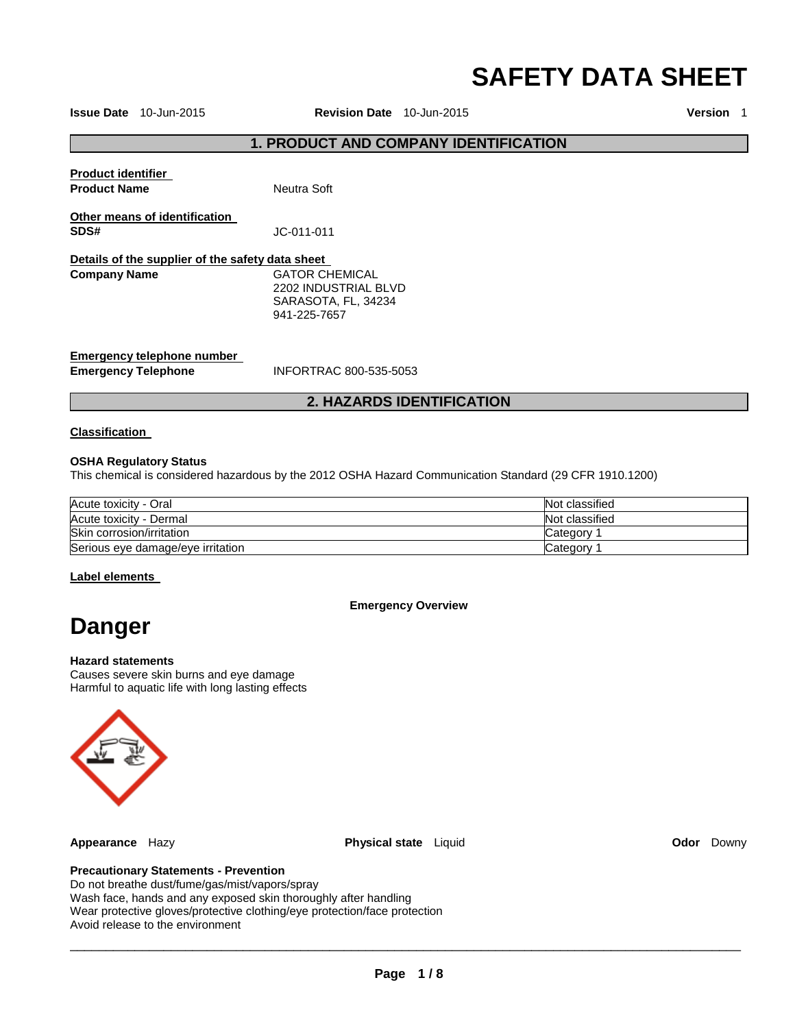# **SAFETY DATA SHEET**

**Issue Date** 10-Jun-2015 **Revision Date** 10-Jun-2015 **Version** 1

# **1. PRODUCT AND COMPANY IDENTIFICATION**

| <b>Product identifier</b><br><b>Product Name</b>         | Neutra Soft                                                                          |
|----------------------------------------------------------|--------------------------------------------------------------------------------------|
| Other means of identification<br>SDS#                    | JC-011-011                                                                           |
| Details of the supplier of the safety data sheet         |                                                                                      |
| <b>Company Name</b>                                      | <b>GATOR CHEMICAL</b><br>2202 INDUSTRIAL BLVD<br>SARASOTA, FL, 34234<br>941-225-7657 |
| Emergency telephone number<br><b>Emergency Telephone</b> | INFORTRAC 800-535-5053                                                               |

# **2. HAZARDS IDENTIFICATION**

# **Classification**

## **OSHA Regulatory Status**

This chemical is considered hazardous by the 2012 OSHA Hazard Communication Standard (29 CFR 1910.1200)

| Acute toxicity - Oral             | Not classified |
|-----------------------------------|----------------|
| Acute toxicity - Dermal           | Not classified |
| Skin corrosion/irritation         | Category       |
| Serious eye damage/eye irritation | Category       |

## **Label elements**

**Emergency Overview** 

# **Danger**

## **Hazard statements**

Causes severe skin burns and eye damage Harmful to aquatic life with long lasting effects



**Appearance** Hazy **Physical state** Liquid **Odor** Downy

# **Precautionary Statements - Prevention**

Do not breathe dust/fume/gas/mist/vapors/spray Wash face, hands and any exposed skin thoroughly after handling Wear protective gloves/protective clothing/eye protection/face protection Avoid release to the environment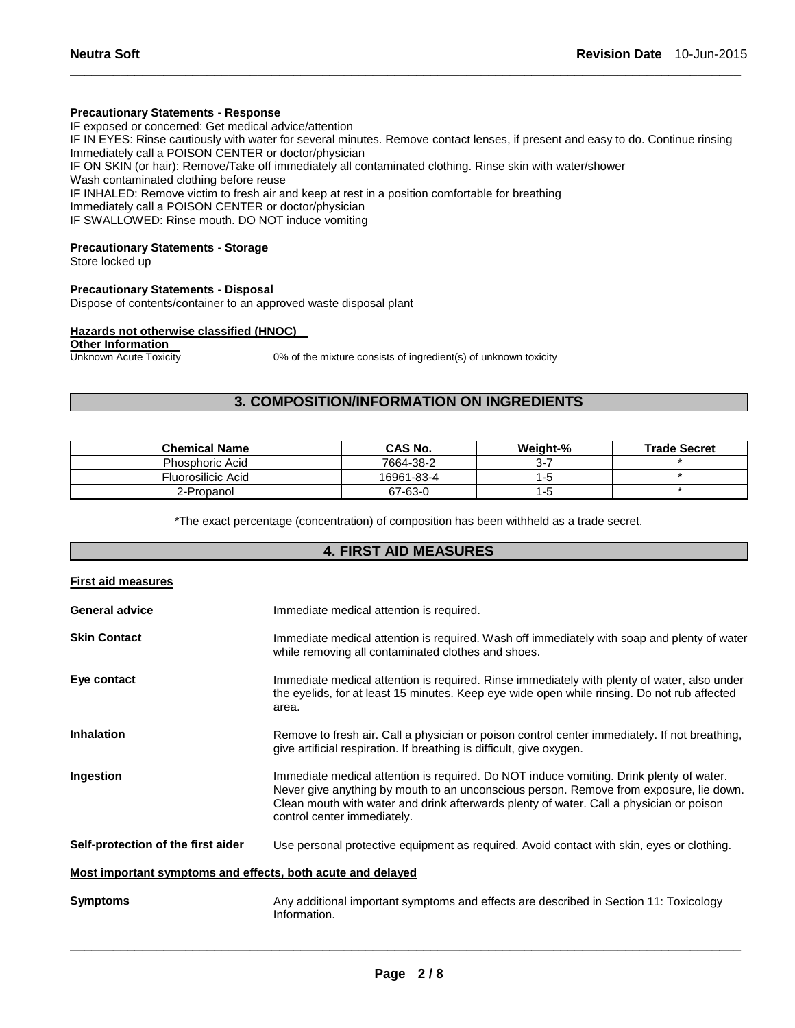# **Precautionary Statements - Response**

IF exposed or concerned: Get medical advice/attention IF IN EYES: Rinse cautiously with water for several minutes. Remove contact lenses, if present and easy to do. Continue rinsing Immediately call a POISON CENTER or doctor/physician IF ON SKIN (or hair): Remove/Take off immediately all contaminated clothing. Rinse skin with water/shower Wash contaminated clothing before reuse IF INHALED: Remove victim to fresh air and keep at rest in a position comfortable for breathing Immediately call a POISON CENTER or doctor/physician IF SWALLOWED: Rinse mouth. DO NOT induce vomiting

\_\_\_\_\_\_\_\_\_\_\_\_\_\_\_\_\_\_\_\_\_\_\_\_\_\_\_\_\_\_\_\_\_\_\_\_\_\_\_\_\_\_\_\_\_\_\_\_\_\_\_\_\_\_\_\_\_\_\_\_\_\_\_\_\_\_\_\_\_\_\_\_\_\_\_\_\_\_\_\_\_\_\_\_\_\_\_\_\_\_\_\_\_

# **Precautionary Statements - Storage**

Store locked up

#### **Precautionary Statements - Disposal**

Dispose of contents/container to an approved waste disposal plant

#### **Hazards not otherwise classified (HNOC)**

# **Other Information**<br>Unknown Acute Toxicity

0% of the mixture consists of ingredient(s) of unknown toxicity

# **3. COMPOSITION/INFORMATION ON INGREDIENTS**

| <b>Chemical Name</b>   | <b>CAS No.</b> | Weight-% | <b>Trade Secret</b> |
|------------------------|----------------|----------|---------------------|
| <b>Phosphoric Acid</b> | 7664-38-2      | 3-7      |                     |
| Fluorosilicic Acid     | 16961-83-4     | 1 – C    |                     |
| 2-Propanol             | 67-63-0        | 1-5      |                     |

\*The exact percentage (concentration) of composition has been withheld as a trade secret.

# **4. FIRST AID MEASURES**

| <b>First aid measures</b>                                   |                                                                                                                                                                                                                                                                                                             |
|-------------------------------------------------------------|-------------------------------------------------------------------------------------------------------------------------------------------------------------------------------------------------------------------------------------------------------------------------------------------------------------|
| <b>General advice</b>                                       | Immediate medical attention is required.                                                                                                                                                                                                                                                                    |
| <b>Skin Contact</b>                                         | Immediate medical attention is required. Wash off immediately with soap and plenty of water<br>while removing all contaminated clothes and shoes.                                                                                                                                                           |
| Eye contact                                                 | Immediate medical attention is required. Rinse immediately with plenty of water, also under<br>the eyelids, for at least 15 minutes. Keep eye wide open while rinsing. Do not rub affected<br>area.                                                                                                         |
| <b>Inhalation</b>                                           | Remove to fresh air. Call a physician or poison control center immediately. If not breathing,<br>give artificial respiration. If breathing is difficult, give oxygen.                                                                                                                                       |
| Ingestion                                                   | Immediate medical attention is required. Do NOT induce vomiting. Drink plenty of water.<br>Never give anything by mouth to an unconscious person. Remove from exposure, lie down.<br>Clean mouth with water and drink afterwards plenty of water. Call a physician or poison<br>control center immediately. |
| Self-protection of the first aider                          | Use personal protective equipment as required. Avoid contact with skin, eyes or clothing.                                                                                                                                                                                                                   |
| Most important symptoms and effects, both acute and delayed |                                                                                                                                                                                                                                                                                                             |
| <b>Symptoms</b>                                             | Any additional important symptoms and effects are described in Section 11: Toxicology<br>Information.                                                                                                                                                                                                       |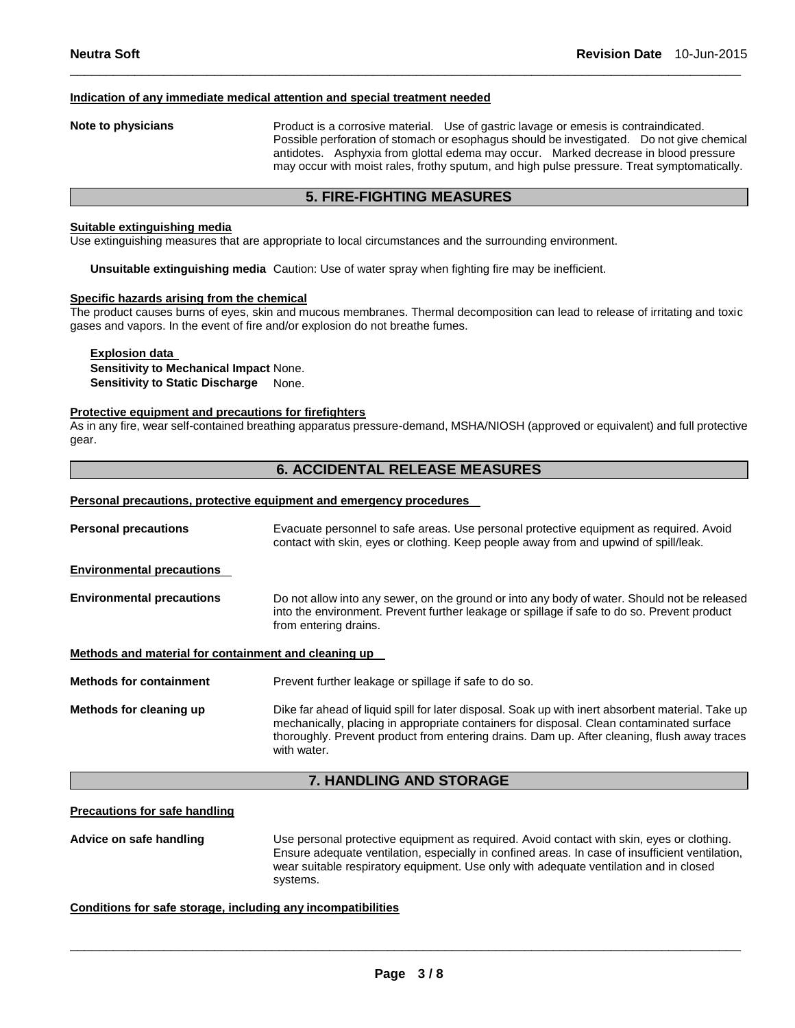#### **Indication of any immediate medical attention and special treatment needed**

**Note to physicians** Product is a corrosive material. Use of gastric lavage or emesis is contraindicated. Possible perforation of stomach or esophagus should be investigated. Do not give chemical antidotes. Asphyxia from glottal edema may occur. Marked decrease in blood pressure may occur with moist rales, frothy sputum, and high pulse pressure. Treat symptomatically.

# **5. FIRE-FIGHTING MEASURES**

\_\_\_\_\_\_\_\_\_\_\_\_\_\_\_\_\_\_\_\_\_\_\_\_\_\_\_\_\_\_\_\_\_\_\_\_\_\_\_\_\_\_\_\_\_\_\_\_\_\_\_\_\_\_\_\_\_\_\_\_\_\_\_\_\_\_\_\_\_\_\_\_\_\_\_\_\_\_\_\_\_\_\_\_\_\_\_\_\_\_\_\_\_

#### **Suitable extinguishing media**

Use extinguishing measures that are appropriate to local circumstances and the surrounding environment.

**Unsuitable extinguishing media** Caution: Use of water spray when fighting fire may be inefficient.

#### **Specific hazards arising from the chemical**

The product causes burns of eyes, skin and mucous membranes. Thermal decomposition can lead to release of irritating and toxic gases and vapors. In the event of fire and/or explosion do not breathe fumes.

# **Explosion data Sensitivity to Mechanical Impact** None. **Sensitivity to Static Discharge** None.

#### **Protective equipment and precautions for firefighters**

As in any fire, wear self-contained breathing apparatus pressure-demand, MSHA/NIOSH (approved or equivalent) and full protective gear.

# **6. ACCIDENTAL RELEASE MEASURES**

#### **Personal precautions, protective equipment and emergency procedures**

| <b>Personal precautions</b>                          | Evacuate personnel to safe areas. Use personal protective equipment as required. Avoid<br>contact with skin, eyes or clothing. Keep people away from and upwind of spill/leak.                                                                                                                              |
|------------------------------------------------------|-------------------------------------------------------------------------------------------------------------------------------------------------------------------------------------------------------------------------------------------------------------------------------------------------------------|
| <b>Environmental precautions</b>                     |                                                                                                                                                                                                                                                                                                             |
| <b>Environmental precautions</b>                     | Do not allow into any sewer, on the ground or into any body of water. Should not be released<br>into the environment. Prevent further leakage or spillage if safe to do so. Prevent product<br>from entering drains.                                                                                        |
| Methods and material for containment and cleaning up |                                                                                                                                                                                                                                                                                                             |
| <b>Methods for containment</b>                       | Prevent further leakage or spillage if safe to do so.                                                                                                                                                                                                                                                       |
| Methods for cleaning up                              | Dike far ahead of liquid spill for later disposal. Soak up with inert absorbent material. Take up<br>mechanically, placing in appropriate containers for disposal. Clean contaminated surface<br>thoroughly. Prevent product from entering drains. Dam up. After cleaning, flush away traces<br>with water. |

# **7. HANDLING AND STORAGE**

#### **Precautions for safe handling**

**Advice on safe handling** Use personal protective equipment as required. Avoid contact with skin, eyes or clothing. Ensure adequate ventilation, especially in confined areas. In case of insufficient ventilation, wear suitable respiratory equipment. Use only with adequate ventilation and in closed systems.

#### **Conditions for safe storage, including any incompatibilities**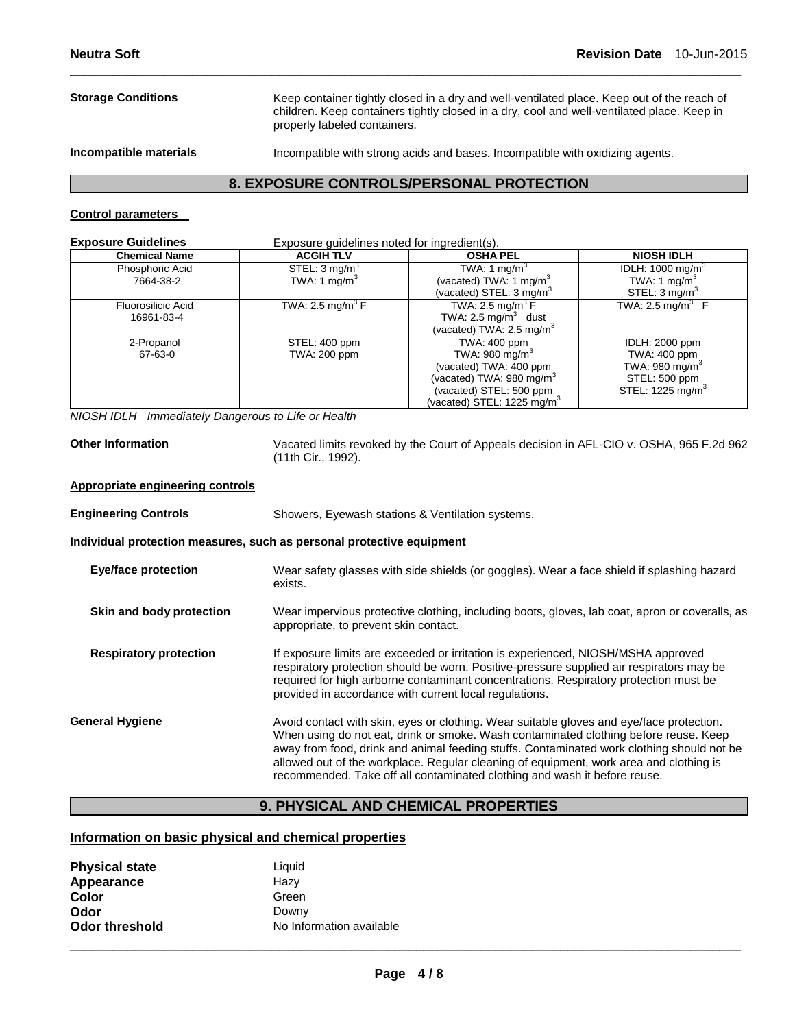# **Storage Conditions** Keep container tightly closed in a dry and well-ventilated place. Keep out of the reach of children. Keep containers tightly closed in a dry, cool and well-ventilated place. Keep in properly labeled containers. **Incompatible materials** Incompatible with strong acids and bases. Incompatible with oxidizing agents.

\_\_\_\_\_\_\_\_\_\_\_\_\_\_\_\_\_\_\_\_\_\_\_\_\_\_\_\_\_\_\_\_\_\_\_\_\_\_\_\_\_\_\_\_\_\_\_\_\_\_\_\_\_\_\_\_\_\_\_\_\_\_\_\_\_\_\_\_\_\_\_\_\_\_\_\_\_\_\_\_\_\_\_\_\_\_\_\_\_\_\_\_\_

# **8. EXPOSURE CONTROLS/PERSONAL PROTECTION**

# **Control parameters**

| <b>Exposure Guidelines</b><br>Exposure guidelines noted for ingredient(s). |                                                      |                                                                                                                                                         |                                                                                                               |
|----------------------------------------------------------------------------|------------------------------------------------------|---------------------------------------------------------------------------------------------------------------------------------------------------------|---------------------------------------------------------------------------------------------------------------|
| <b>Chemical Name</b>                                                       | <b>ACGIH TLV</b>                                     | <b>OSHA PEL</b>                                                                                                                                         | <b>NIOSH IDLH</b>                                                                                             |
| Phosphoric Acid<br>7664-38-2                                               | STEL: $3 \text{ mg/m}^3$<br>TWA: 1 mg/m <sup>3</sup> | TWA: 1 mg/m <sup>3</sup><br>(vacated) TWA: 1 mg/m <sup>3</sup><br>(vacated) STEL: $3 \text{ mg/m}^3$                                                    | IDLH: 1000 mg/m <sup>3</sup><br>TWA: 1 mg/m <sup>3</sup><br>STEL: $3 \text{ mg/m}^3$                          |
| Fluorosilicic Acid<br>16961-83-4                                           | TWA: 2.5 mg/m <sup>3</sup> F                         | TWA: 2.5 mg/m <sup>3</sup> F<br>TWA: $2.5 \text{ mg/m}^3$ dust<br>(vacated) TWA: 2.5 mg/m ${}^{3}$                                                      | TWA: $2.5 \text{ ma/m}^3$ F                                                                                   |
| 2-Propanol<br>67-63-0                                                      | STEL: 400 ppm<br>TWA: 200 ppm                        | TWA: 400 ppm<br>TWA: 980 mg/m $3$<br>(vacated) TWA: 400 ppm<br>(vacated) TWA: 980 mg/m $3$<br>(vacated) STEL: 500 ppm<br>(vacated) STEL: 1225 mg/m $^3$ | IDLH: 2000 ppm<br>TWA: 400 ppm<br>TWA: 980 mg/m <sup>3</sup><br>STEL: 500 ppm<br>STEL: 1225 mg/m <sup>3</sup> |

*NIOSH IDLH Immediately Dangerous to Life or Health* 

**Other Information** Vacated limits revoked by the Court of Appeals decision in AFL-CIO v. OSHA, 965 F.2d 962 (11th Cir., 1992).

#### **Appropriate engineering controls**

| <b>Engineering Controls</b>   | Showers, Eyewash stations & Ventilation systems.                                                                                                                                                                                                                                                                                                                                                                                                     |  |  |  |
|-------------------------------|------------------------------------------------------------------------------------------------------------------------------------------------------------------------------------------------------------------------------------------------------------------------------------------------------------------------------------------------------------------------------------------------------------------------------------------------------|--|--|--|
|                               | Individual protection measures, such as personal protective equipment                                                                                                                                                                                                                                                                                                                                                                                |  |  |  |
| <b>Eye/face protection</b>    | Wear safety glasses with side shields (or goggles). Wear a face shield if splashing hazard<br>exists.                                                                                                                                                                                                                                                                                                                                                |  |  |  |
| Skin and body protection      | Wear impervious protective clothing, including boots, gloves, lab coat, apron or coveralls, as<br>appropriate, to prevent skin contact.                                                                                                                                                                                                                                                                                                              |  |  |  |
| <b>Respiratory protection</b> | If exposure limits are exceeded or irritation is experienced, NIOSH/MSHA approved<br>respiratory protection should be worn. Positive-pressure supplied air respirators may be<br>required for high airborne contaminant concentrations. Respiratory protection must be<br>provided in accordance with current local regulations.                                                                                                                     |  |  |  |
| <b>General Hygiene</b>        | Avoid contact with skin, eyes or clothing. Wear suitable gloves and eye/face protection.<br>When using do not eat, drink or smoke. Wash contaminated clothing before reuse. Keep<br>away from food, drink and animal feeding stuffs. Contaminated work clothing should not be<br>allowed out of the workplace. Regular cleaning of equipment, work area and clothing is<br>recommended. Take off all contaminated clothing and wash it before reuse. |  |  |  |

# **9. PHYSICAL AND CHEMICAL PROPERTIES**

# **Information on basic physical and chemical properties**

| <b>Physical state</b> | Liquid                   |
|-----------------------|--------------------------|
| Appearance            | Hazy                     |
| Color                 | Green                    |
| Odor                  | Downy                    |
| <b>Odor threshold</b> | No Information available |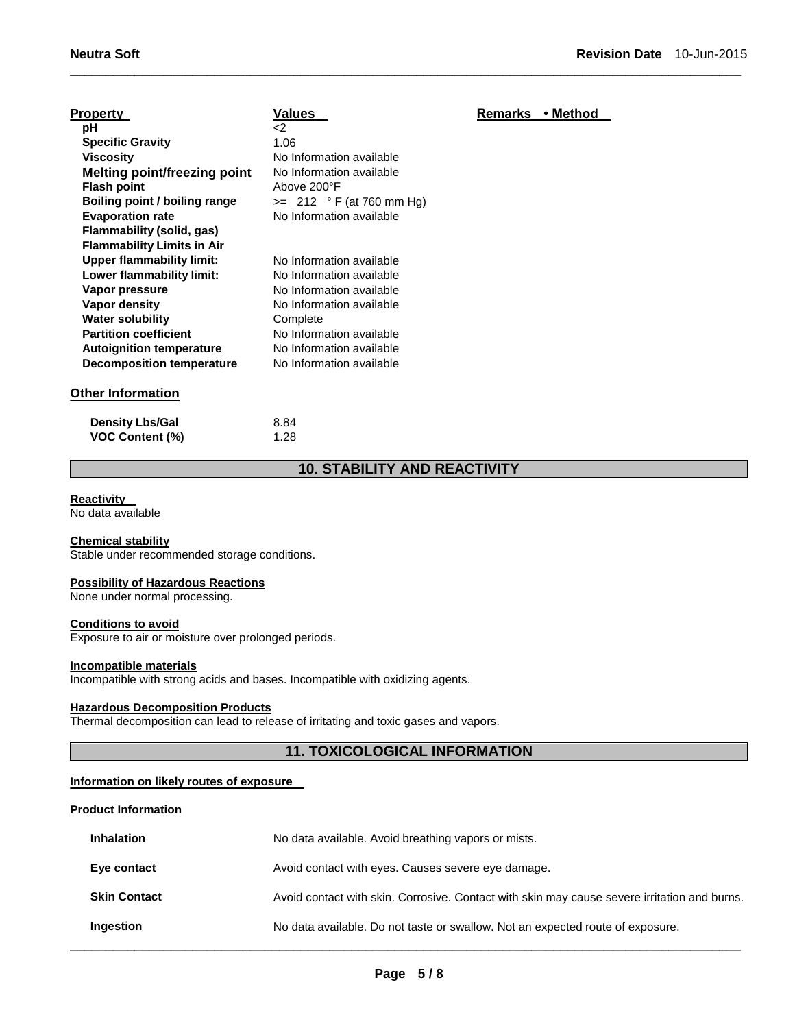| <b>Property</b>                     | Values                     | <b>Remarks</b> | • Method |
|-------------------------------------|----------------------------|----------------|----------|
| рH                                  | $\leq$                     |                |          |
| <b>Specific Gravity</b>             | 1.06                       |                |          |
| <b>Viscosity</b>                    | No Information available   |                |          |
| <b>Melting point/freezing point</b> | No Information available   |                |          |
| <b>Flash point</b>                  | Above 200°F                |                |          |
| Boiling point / boiling range       | $>= 212 °F (at 760 mm Hg)$ |                |          |
| <b>Evaporation rate</b>             | No Information available   |                |          |
| Flammability (solid, gas)           |                            |                |          |
| <b>Flammability Limits in Air</b>   |                            |                |          |
| <b>Upper flammability limit:</b>    | No Information available   |                |          |
| Lower flammability limit:           | No Information available   |                |          |
| Vapor pressure                      | No Information available   |                |          |
| Vapor density                       | No Information available   |                |          |
| <b>Water solubility</b>             | Complete                   |                |          |
| <b>Partition coefficient</b>        | No Information available   |                |          |
| <b>Autoignition temperature</b>     | No Information available   |                |          |
| <b>Decomposition temperature</b>    | No Information available   |                |          |
| <b>Other Information</b>            |                            |                |          |

| <b>Density Lbs/Gal</b> | 8.84 |
|------------------------|------|
| <b>VOC Content (%)</b> | 1.28 |

# **10. STABILITY AND REACTIVITY**

\_\_\_\_\_\_\_\_\_\_\_\_\_\_\_\_\_\_\_\_\_\_\_\_\_\_\_\_\_\_\_\_\_\_\_\_\_\_\_\_\_\_\_\_\_\_\_\_\_\_\_\_\_\_\_\_\_\_\_\_\_\_\_\_\_\_\_\_\_\_\_\_\_\_\_\_\_\_\_\_\_\_\_\_\_\_\_\_\_\_\_\_\_

#### **Reactivity**

No data available

# **Chemical stability**

Stable under recommended storage conditions.

#### **Possibility of Hazardous Reactions**

None under normal processing.

#### **Conditions to avoid**

Exposure to air or moisture over prolonged periods.

## **Incompatible materials**

Incompatible with strong acids and bases. Incompatible with oxidizing agents.

# **Hazardous Decomposition Products**

Thermal decomposition can lead to release of irritating and toxic gases and vapors.

# **11. TOXICOLOGICAL INFORMATION**

# **Information on likely routes of exposure**

#### **Product Information**

| <b>Inhalation</b>   | No data available. Avoid breathing vapors or mists.                                          |
|---------------------|----------------------------------------------------------------------------------------------|
| Eye contact         | Avoid contact with eyes. Causes severe eye damage.                                           |
| <b>Skin Contact</b> | Avoid contact with skin. Corrosive. Contact with skin may cause severe irritation and burns. |
| Ingestion           | No data available. Do not taste or swallow. Not an expected route of exposure.               |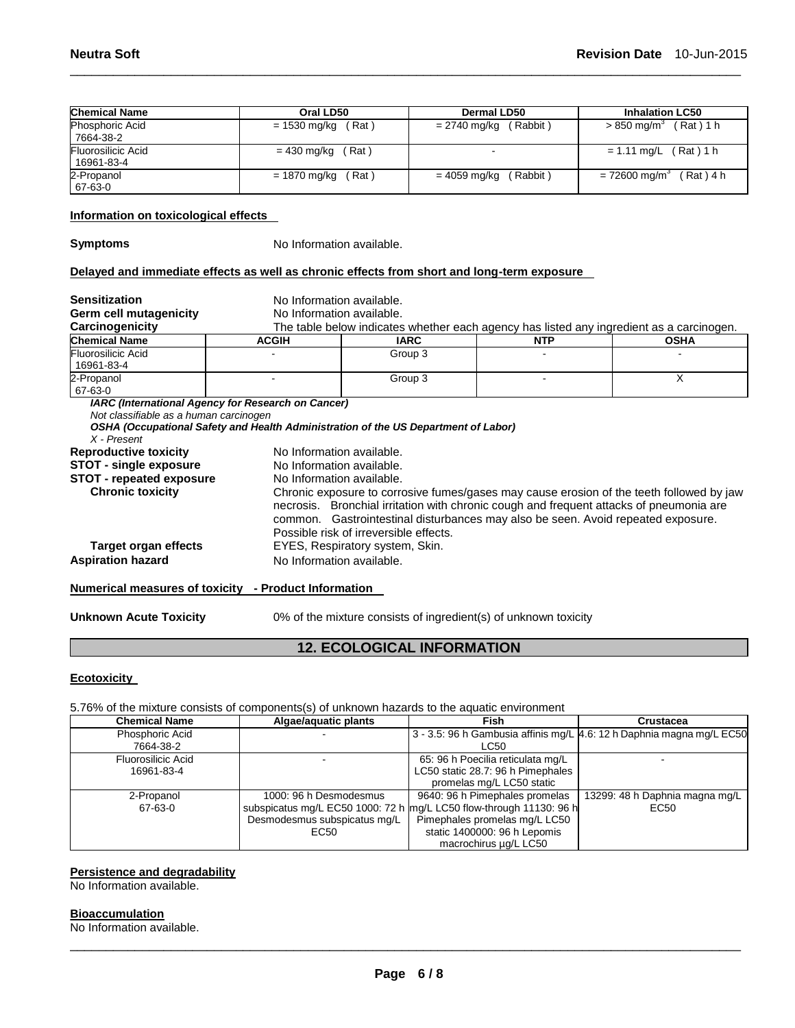| <b>Chemical Name</b>                                                                       | Oral LD50                                                                                                                                |                                                                                                                                                                                     | Dermal LD50    |          |            | <b>Inhalation LC50</b>                                                                   |  |
|--------------------------------------------------------------------------------------------|------------------------------------------------------------------------------------------------------------------------------------------|-------------------------------------------------------------------------------------------------------------------------------------------------------------------------------------|----------------|----------|------------|------------------------------------------------------------------------------------------|--|
| Phosphoric Acid<br>7664-38-2                                                               | $= 1530$ mg/kg (Rat)                                                                                                                     |                                                                                                                                                                                     | $= 2740$ mg/kg | (Rabbit) |            | $> 850$ mg/m <sup>3</sup> (Rat) 1 h                                                      |  |
| Fluorosilicic Acid<br>16961-83-4                                                           | $= 430$ mg/kg (Rat)                                                                                                                      |                                                                                                                                                                                     |                |          |            | $= 1.11$ mg/L (Rat) 1 h                                                                  |  |
| 2-Propanol<br>67-63-0                                                                      | $= 1870$ mg/kg (Rat)                                                                                                                     |                                                                                                                                                                                     | $= 4059$ mg/kg | (Rabbit) |            | $= 72600$ mg/m <sup>3</sup> (Rat) 4 h                                                    |  |
| Information on toxicological effects                                                       |                                                                                                                                          |                                                                                                                                                                                     |                |          |            |                                                                                          |  |
| <b>Symptoms</b>                                                                            | No Information available.                                                                                                                |                                                                                                                                                                                     |                |          |            |                                                                                          |  |
| Delayed and immediate effects as well as chronic effects from short and long-term exposure |                                                                                                                                          |                                                                                                                                                                                     |                |          |            |                                                                                          |  |
| <b>Sensitization</b>                                                                       | No Information available.                                                                                                                |                                                                                                                                                                                     |                |          |            |                                                                                          |  |
| Germ cell mutagenicity                                                                     | No Information available.                                                                                                                |                                                                                                                                                                                     |                |          |            |                                                                                          |  |
| Carcinogenicity                                                                            |                                                                                                                                          |                                                                                                                                                                                     |                |          |            | The table below indicates whether each agency has listed any ingredient as a carcinogen. |  |
| <b>Chemical Name</b>                                                                       | <b>ACGIH</b>                                                                                                                             | <b>IARC</b>                                                                                                                                                                         |                |          | <b>NTP</b> | <b>OSHA</b>                                                                              |  |
| <b>Fluorosilicic Acid</b><br>16961-83-4                                                    |                                                                                                                                          | Group 3                                                                                                                                                                             |                |          |            |                                                                                          |  |
| 2-Propanol<br>67-63-0                                                                      |                                                                                                                                          | Group 3                                                                                                                                                                             |                |          | X          |                                                                                          |  |
| Not classifiable as a human carcinogen<br>$X$ - Present                                    | IARC (International Agency for Research on Cancer)<br>OSHA (Occupational Safety and Health Administration of the US Department of Labor) |                                                                                                                                                                                     |                |          |            |                                                                                          |  |
| <b>Reproductive toxicity</b>                                                               | No Information available.                                                                                                                |                                                                                                                                                                                     |                |          |            |                                                                                          |  |
| <b>STOT - single exposure</b>                                                              |                                                                                                                                          | No Information available.                                                                                                                                                           |                |          |            |                                                                                          |  |
| <b>STOT - repeated exposure</b>                                                            | No Information available.                                                                                                                |                                                                                                                                                                                     |                |          |            |                                                                                          |  |
| <b>Chronic toxicity</b>                                                                    |                                                                                                                                          | Chronic exposure to corrosive fumes/gases may cause erosion of the teeth followed by jaw<br>necrosis. Bronchial irritation with chronic cough and frequent attacks of pneumonia are |                |          |            |                                                                                          |  |
|                                                                                            |                                                                                                                                          | common. Gastrointestinal disturbances may also be seen. Avoid repeated exposure.<br>Possible risk of irreversible effects.                                                          |                |          |            |                                                                                          |  |
| <b>Target organ effects</b>                                                                |                                                                                                                                          | EYES, Respiratory system, Skin.                                                                                                                                                     |                |          |            |                                                                                          |  |
| <b>Aspiration hazard</b>                                                                   |                                                                                                                                          | No Information available.                                                                                                                                                           |                |          |            |                                                                                          |  |
| Numerical measures of toxicity - Product Information                                       |                                                                                                                                          |                                                                                                                                                                                     |                |          |            |                                                                                          |  |

\_\_\_\_\_\_\_\_\_\_\_\_\_\_\_\_\_\_\_\_\_\_\_\_\_\_\_\_\_\_\_\_\_\_\_\_\_\_\_\_\_\_\_\_\_\_\_\_\_\_\_\_\_\_\_\_\_\_\_\_\_\_\_\_\_\_\_\_\_\_\_\_\_\_\_\_\_\_\_\_\_\_\_\_\_\_\_\_\_\_\_\_\_

**Unknown Acute Toxicity** 0% of the mixture consists of ingredient(s) of unknown toxicity

# **12. ECOLOGICAL INFORMATION**

# **Ecotoxicity**

# 5.76% of the mixture consists of components(s) of unknown hazards to the aquatic environment

| <b>Chemical Name</b> | Algae/aquatic plants         | Fish                                                                  | <b>Crustacea</b>                                                      |
|----------------------|------------------------------|-----------------------------------------------------------------------|-----------------------------------------------------------------------|
| Phosphoric Acid      |                              |                                                                       | 3 - 3.5: 96 h Gambusia affinis mg/L 4.6: 12 h Daphnia magna mg/L EC50 |
| 7664-38-2            |                              | LC50                                                                  |                                                                       |
| Fluorosilicic Acid   |                              | 65: 96 h Poecilia reticulata mg/L                                     |                                                                       |
| 16961-83-4           |                              | LC50 static 28.7: 96 h Pimephales                                     |                                                                       |
|                      |                              | promelas mg/L LC50 static                                             |                                                                       |
| 2-Propanol           | 1000: 96 h Desmodesmus       | 9640: 96 h Pimephales promelas                                        | 13299: 48 h Daphnia magna mg/L                                        |
| 67-63-0              |                              | subspicatus mg/L EC50 1000: 72 h   mg/L LC50 flow-through 11130: 96 h | EC50                                                                  |
|                      | Desmodesmus subspicatus mg/L | Pimephales promelas mg/L LC50                                         |                                                                       |
|                      | EC50                         | static 1400000: 96 h Lepomis                                          |                                                                       |
|                      |                              | macrochirus ug/L LC50                                                 |                                                                       |

# **Persistence and degradability**

No Information available.

# **Bioaccumulation**

No Information available.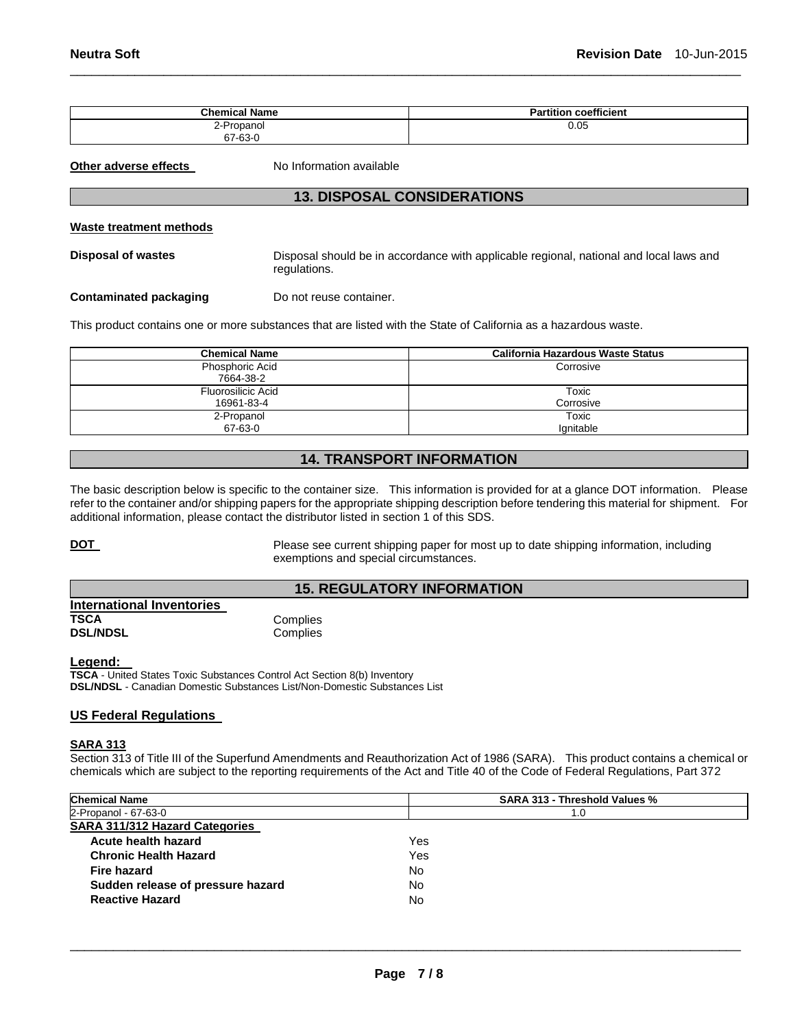| <b>Chemical Name</b> | coefficient<br><b>Partition</b> |
|----------------------|---------------------------------|
| 2-Propanol           | 0.05                            |
| 67-63-0              |                                 |

\_\_\_\_\_\_\_\_\_\_\_\_\_\_\_\_\_\_\_\_\_\_\_\_\_\_\_\_\_\_\_\_\_\_\_\_\_\_\_\_\_\_\_\_\_\_\_\_\_\_\_\_\_\_\_\_\_\_\_\_\_\_\_\_\_\_\_\_\_\_\_\_\_\_\_\_\_\_\_\_\_\_\_\_\_\_\_\_\_\_\_\_\_

**Other adverse effects** No Information available

# **13. DISPOSAL CONSIDERATIONS**

#### **Waste treatment methods**

**Disposal of wastes** Disposal should be in accordance with applicable regional, national and local laws and regulations.

**Contaminated packaging Theory Do not reuse container.** 

This product contains one or more substances that are listed with the State of California as a hazardous waste.

| <b>Chemical Name</b>         | <b>California Hazardous Waste Status</b> |  |
|------------------------------|------------------------------------------|--|
| Phosphoric Acid<br>7664-38-2 | Corrosive                                |  |
| Fluorosilicic Acid           | Toxic                                    |  |
| 16961-83-4<br>2-Propanol     | Corrosive<br>Toxic                       |  |
| 67-63-0                      | lgnitable                                |  |

# **14. TRANSPORT INFORMATION**

The basic description below is specific to the container size. This information is provided for at a glance DOT information. Please refer to the container and/or shipping papers for the appropriate shipping description before tendering this material for shipment. For additional information, please contact the distributor listed in section 1 of this SDS.

**DOT** Please see current shipping paper for most up to date shipping information, including exemptions and special circumstances.

# **15. REGULATORY INFORMATION**

| <b>International Inventories</b> |          |
|----------------------------------|----------|
| TSCA                             | Complies |
| <b>DSL/NDSL</b>                  | Complies |

#### **Legend:**

**TSCA** - United States Toxic Substances Control Act Section 8(b) Inventory **DSL/NDSL** - Canadian Domestic Substances List/Non-Domestic Substances List

# **US Federal Regulations**

#### **SARA 313**

Section 313 of Title III of the Superfund Amendments and Reauthorization Act of 1986 (SARA). This product contains a chemical or chemicals which are subject to the reporting requirements of the Act and Title 40 of the Code of Federal Regulations, Part 372

| <b>Chemical Name</b>                  | SARA 313 - Threshold Values % |  |  |
|---------------------------------------|-------------------------------|--|--|
| 2-Propanol - 67-63-0                  | 1.0                           |  |  |
| <b>SARA 311/312 Hazard Categories</b> |                               |  |  |
| Acute health hazard                   | Yes                           |  |  |
| <b>Chronic Health Hazard</b>          | Yes                           |  |  |
| Fire hazard                           | No.                           |  |  |
| Sudden release of pressure hazard     | No                            |  |  |
| <b>Reactive Hazard</b>                | No                            |  |  |